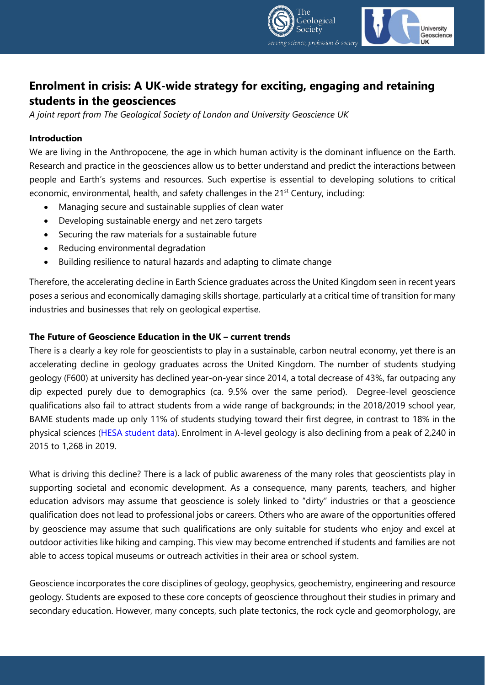

# **Enrolment in crisis: A UK-wide strategy for exciting, engaging and retaining students in the geosciences**

*A joint report from The Geological Society of London and University Geoscience UK*

### **Introduction**

We are living in the Anthropocene, the age in which human activity is the dominant influence on the Earth. Research and practice in the geosciences allow us to better understand and predict the interactions between people and Earth's systems and resources. Such expertise is essential to developing solutions to critical economic, environmental, health, and safety challenges in the  $21<sup>st</sup>$  Century, including:

- Managing secure and sustainable supplies of clean water
- Developing sustainable energy and net zero targets
- Securing the raw materials for a sustainable future
- Reducing environmental degradation
- Building resilience to natural hazards and adapting to climate change

Therefore, the accelerating decline in Earth Science graduates across the United Kingdom seen in recent years poses a serious and economically damaging skills shortage, particularly at a critical time of transition for many industries and businesses that rely on geological expertise.

#### **The Future of Geoscience Education in the UK – current trends**

There is a clearly a key role for geoscientists to play in a sustainable, carbon neutral economy, yet there is an accelerating decline in geology graduates across the United Kingdom. The number of students studying geology (F600) at university has declined year-on-year since 2014, a total decrease of 43%, far outpacing any dip expected purely due to demographics (ca. 9.5% over the same period). Degree-level geoscience qualifications also fail to attract students from a wide range of backgrounds; in the 2018/2019 school year, BAME students made up only 11% of students studying toward their first degree, in contrast to 18% in the physical sciences [\(HESA student data\)](https://www.hesa.ac.uk/data-and-analysis/students/table-8). Enrolment in A-level geology is also declining from a peak of 2,240 in 2015 to 1,268 in 2019.

What is driving this decline? There is a lack of public awareness of the many roles that geoscientists play in supporting societal and economic development. As a consequence, many parents, teachers, and higher education advisors may assume that geoscience is solely linked to "dirty" industries or that a geoscience qualification does not lead to professional jobs or careers. Others who are aware of the opportunities offered by geoscience may assume that such qualifications are only suitable for students who enjoy and excel at outdoor activities like hiking and camping. This view may become entrenched if students and families are not able to access topical museums or outreach activities in their area or school system.

Geoscience incorporates the core disciplines of geology, geophysics, geochemistry, engineering and resource geology. Students are exposed to these core concepts of geoscience throughout their studies in primary and secondary education. However, many concepts, such plate tectonics, the rock cycle and geomorphology, are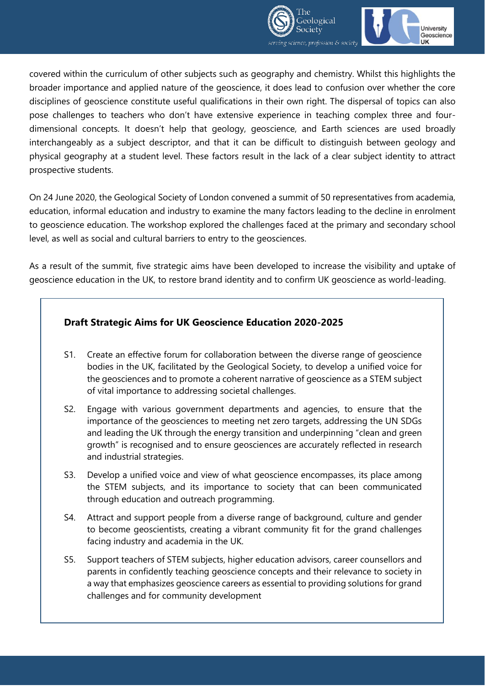



covered within the curriculum of other subjects such as geography and chemistry. Whilst this highlights the broader importance and applied nature of the geoscience, it does lead to confusion over whether the core disciplines of geoscience constitute useful qualifications in their own right. The dispersal of topics can also pose challenges to teachers who don't have extensive experience in teaching complex three and fourdimensional concepts. It doesn't help that geology, geoscience, and Earth sciences are used broadly interchangeably as a subject descriptor, and that it can be difficult to distinguish between geology and physical geography at a student level. These factors result in the lack of a clear subject identity to attract prospective students.

On 24 June 2020, the Geological Society of London convened a summit of 50 representatives from academia, education, informal education and industry to examine the many factors leading to the decline in enrolment to geoscience education. The workshop explored the challenges faced at the primary and secondary school level, as well as social and cultural barriers to entry to the geosciences.

As a result of the summit, five strategic aims have been developed to increase the visibility and uptake of geoscience education in the UK, to restore brand identity and to confirm UK geoscience as world-leading.

# **Draft Strategic Aims for UK Geoscience Education 2020-2025**

- S1. Create an effective forum for collaboration between the diverse range of geoscience bodies in the UK, facilitated by the Geological Society, to develop a unified voice for the geosciences and to promote a coherent narrative of geoscience as a STEM subject of vital importance to addressing societal challenges.
- S2. Engage with various government departments and agencies, to ensure that the importance of the geosciences to meeting net zero targets, addressing the UN SDGs and leading the UK through the energy transition and underpinning "clean and green growth" is recognised and to ensure geosciences are accurately reflected in research and industrial strategies.
- S3. Develop a unified voice and view of what geoscience encompasses, its place among the STEM subjects, and its importance to society that can been communicated through education and outreach programming.
- S4. Attract and support people from a diverse range of background, culture and gender to become geoscientists, creating a vibrant community fit for the grand challenges facing industry and academia in the UK.
- S5. Support teachers of STEM subjects, higher education advisors, career counsellors and parents in confidently teaching geoscience concepts and their relevance to society in a way that emphasizes geoscience careers as essential to providing solutions for grand challenges and for community development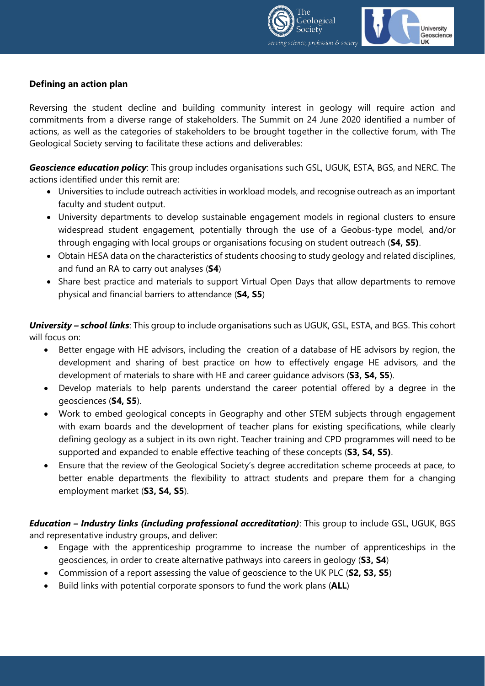



## **Defining an action plan**

Reversing the student decline and building community interest in geology will require action and commitments from a diverse range of stakeholders. The Summit on 24 June 2020 identified a number of actions, as well as the categories of stakeholders to be brought together in the collective forum, with The Geological Society serving to facilitate these actions and deliverables:

*Geoscience education policy*: This group includes organisations such GSL, UGUK, ESTA, BGS, and NERC. The actions identified under this remit are:

- Universities to include outreach activities in workload models, and recognise outreach as an important faculty and student output.
- University departments to develop sustainable engagement models in regional clusters to ensure widespread student engagement, potentially through the use of a Geobus-type model, and/or through engaging with local groups or organisations focusing on student outreach (**S4, S5)**.
- Obtain HESA data on the characteristics of students choosing to study geology and related disciplines, and fund an RA to carry out analyses (**S4**)
- Share best practice and materials to support Virtual Open Days that allow departments to remove physical and financial barriers to attendance (**S4, S5**)

*University – school links*: This group to include organisations such as UGUK, GSL, ESTA, and BGS. This cohort will focus on:

- Better engage with HE advisors, including the creation of a database of HE advisors by region, the development and sharing of best practice on how to effectively engage HE advisors, and the development of materials to share with HE and career guidance advisors (**S3, S4, S5**).
- Develop materials to help parents understand the career potential offered by a degree in the geosciences (**S4, S5**).
- Work to embed geological concepts in Geography and other STEM subjects through engagement with exam boards and the development of teacher plans for existing specifications, while clearly defining geology as a subject in its own right. Teacher training and CPD programmes will need to be supported and expanded to enable effective teaching of these concepts (**S3, S4, S5)**.
- Ensure that the review of the Geological Society's degree accreditation scheme proceeds at pace, to better enable departments the flexibility to attract students and prepare them for a changing employment market (**S3, S4, S5**).

*Education – Industry links (including professional accreditation)*: This group to include GSL, UGUK, BGS and representative industry groups, and deliver:

- Engage with the apprenticeship programme to increase the number of apprenticeships in the geosciences, in order to create alternative pathways into careers in geology (**S3, S4**)
- Commission of a report assessing the value of geoscience to the UK PLC (**S2, S3, S5**)
- Build links with potential corporate sponsors to fund the work plans (**ALL**)